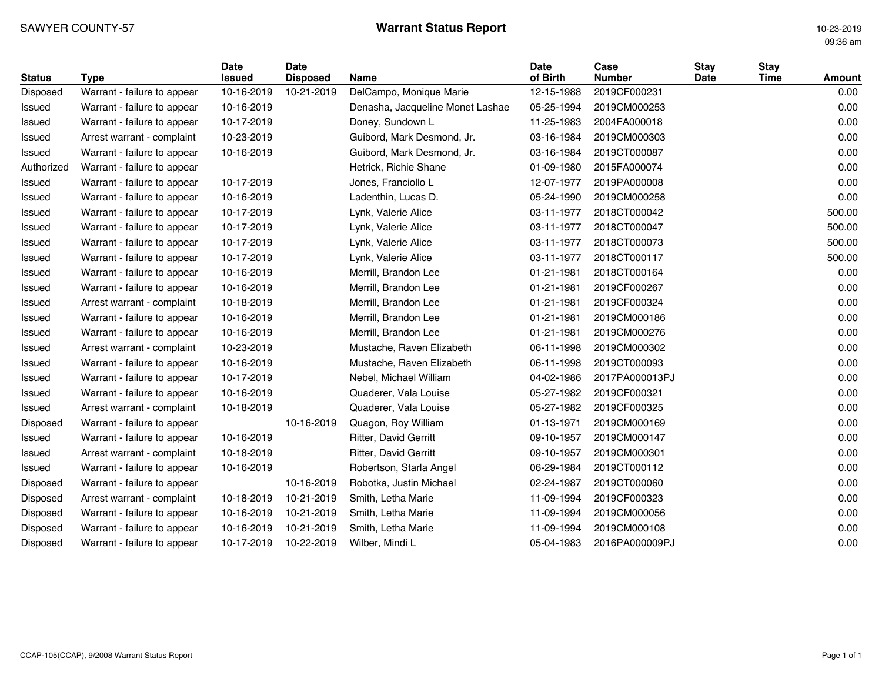# SAWYER COUNTY-57 **Warrant Status Report Warrant Status Report** 10-23-2019

09:36 am

| <b>Status</b> | <b>Type</b>                 | <b>Date</b><br><b>Issued</b> | <b>Date</b><br><b>Disposed</b> | <b>Name</b>                      | <b>Date</b><br>of Birth | Case<br><b>Number</b> | <b>Stay</b><br>Date | <b>Stay</b><br><b>Time</b> | <b>Amount</b> |
|---------------|-----------------------------|------------------------------|--------------------------------|----------------------------------|-------------------------|-----------------------|---------------------|----------------------------|---------------|
| Disposed      | Warrant - failure to appear | 10-16-2019                   | 10-21-2019                     | DelCampo, Monique Marie          | 12-15-1988              | 2019CF000231          |                     |                            | 0.00          |
| Issued        | Warrant - failure to appear | 10-16-2019                   |                                | Denasha, Jacqueline Monet Lashae | 05-25-1994              | 2019CM000253          |                     |                            | 0.00          |
| Issued        | Warrant - failure to appear | 10-17-2019                   |                                | Doney, Sundown L                 | 11-25-1983              | 2004FA000018          |                     |                            | 0.00          |
| Issued        | Arrest warrant - complaint  | 10-23-2019                   |                                | Guibord, Mark Desmond, Jr.       | 03-16-1984              | 2019CM000303          |                     |                            | 0.00          |
| Issued        | Warrant - failure to appear | 10-16-2019                   |                                | Guibord, Mark Desmond, Jr.       | 03-16-1984              | 2019CT000087          |                     |                            | 0.00          |
| Authorized    | Warrant - failure to appear |                              |                                | Hetrick, Richie Shane            | 01-09-1980              | 2015FA000074          |                     |                            | 0.00          |
| Issued        | Warrant - failure to appear | 10-17-2019                   |                                | Jones, Franciollo L              | 12-07-1977              | 2019PA000008          |                     |                            | 0.00          |
| Issued        | Warrant - failure to appear | 10-16-2019                   |                                | Ladenthin, Lucas D.              | 05-24-1990              | 2019CM000258          |                     |                            | 0.00          |
| Issued        | Warrant - failure to appear | 10-17-2019                   |                                | Lynk, Valerie Alice              | 03-11-1977              | 2018CT000042          |                     |                            | 500.00        |
| Issued        | Warrant - failure to appear | 10-17-2019                   |                                | Lynk, Valerie Alice              | 03-11-1977              | 2018CT000047          |                     |                            | 500.00        |
| Issued        | Warrant - failure to appear | 10-17-2019                   |                                | Lynk, Valerie Alice              | 03-11-1977              | 2018CT000073          |                     |                            | 500.00        |
| Issued        | Warrant - failure to appear | 10-17-2019                   |                                | Lynk, Valerie Alice              | 03-11-1977              | 2018CT000117          |                     |                            | 500.00        |
| Issued        | Warrant - failure to appear | 10-16-2019                   |                                | Merrill, Brandon Lee             | 01-21-1981              | 2018CT000164          |                     |                            | 0.00          |
| Issued        | Warrant - failure to appear | 10-16-2019                   |                                | Merrill, Brandon Lee             | 01-21-1981              | 2019CF000267          |                     |                            | 0.00          |
| Issued        | Arrest warrant - complaint  | 10-18-2019                   |                                | Merrill, Brandon Lee             | 01-21-1981              | 2019CF000324          |                     |                            | 0.00          |
| Issued        | Warrant - failure to appear | 10-16-2019                   |                                | Merrill, Brandon Lee             | 01-21-1981              | 2019CM000186          |                     |                            | 0.00          |
| Issued        | Warrant - failure to appear | 10-16-2019                   |                                | Merrill, Brandon Lee             | 01-21-1981              | 2019CM000276          |                     |                            | 0.00          |
| Issued        | Arrest warrant - complaint  | 10-23-2019                   |                                | Mustache, Raven Elizabeth        | 06-11-1998              | 2019CM000302          |                     |                            | 0.00          |
| Issued        | Warrant - failure to appear | 10-16-2019                   |                                | Mustache, Raven Elizabeth        | 06-11-1998              | 2019CT000093          |                     |                            | 0.00          |
| Issued        | Warrant - failure to appear | 10-17-2019                   |                                | Nebel, Michael William           | 04-02-1986              | 2017PA000013PJ        |                     |                            | 0.00          |
| Issued        | Warrant - failure to appear | 10-16-2019                   |                                | Quaderer, Vala Louise            | 05-27-1982              | 2019CF000321          |                     |                            | 0.00          |
| Issued        | Arrest warrant - complaint  | 10-18-2019                   |                                | Quaderer, Vala Louise            | 05-27-1982              | 2019CF000325          |                     |                            | 0.00          |
| Disposed      | Warrant - failure to appear |                              | 10-16-2019                     | Quagon, Roy William              | 01-13-1971              | 2019CM000169          |                     |                            | 0.00          |
| Issued        | Warrant - failure to appear | 10-16-2019                   |                                | Ritter, David Gerritt            | 09-10-1957              | 2019CM000147          |                     |                            | 0.00          |
| Issued        | Arrest warrant - complaint  | 10-18-2019                   |                                | Ritter, David Gerritt            | 09-10-1957              | 2019CM000301          |                     |                            | 0.00          |
| Issued        | Warrant - failure to appear | 10-16-2019                   |                                | Robertson, Starla Angel          | 06-29-1984              | 2019CT000112          |                     |                            | 0.00          |
| Disposed      | Warrant - failure to appear |                              | 10-16-2019                     | Robotka, Justin Michael          | 02-24-1987              | 2019CT000060          |                     |                            | 0.00          |
| Disposed      | Arrest warrant - complaint  | 10-18-2019                   | 10-21-2019                     | Smith, Letha Marie               | 11-09-1994              | 2019CF000323          |                     |                            | 0.00          |
| Disposed      | Warrant - failure to appear | 10-16-2019                   | 10-21-2019                     | Smith, Letha Marie               | 11-09-1994              | 2019CM000056          |                     |                            | 0.00          |
| Disposed      | Warrant - failure to appear | 10-16-2019                   | 10-21-2019                     | Smith, Letha Marie               | 11-09-1994              | 2019CM000108          |                     |                            | 0.00          |
| Disposed      | Warrant - failure to appear | 10-17-2019                   | 10-22-2019                     | Wilber, Mindi L                  | 05-04-1983              | 2016PA000009PJ        |                     |                            | 0.00          |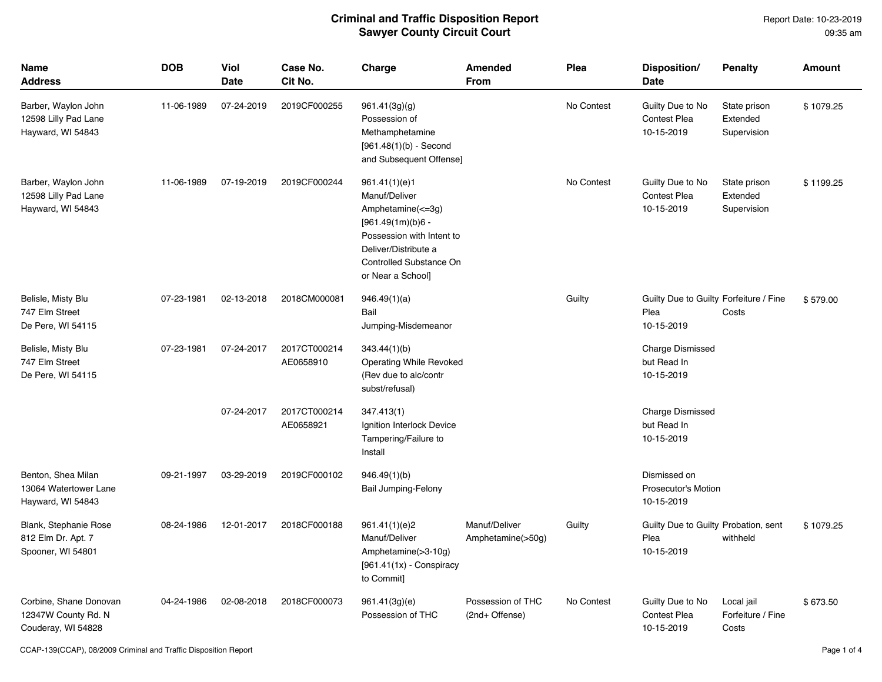Report Date: 10-23-2019 09:35 am

| <b>Name</b><br><b>Address</b>                                       | <b>DOB</b> | <b>Viol</b><br><b>Date</b> | Case No.<br>Cit No.       | Charge                                                                                                                                                                          | Amended<br>From                     | Plea       | Disposition/<br>Date                                         | <b>Penalty</b>                           | <b>Amount</b> |
|---------------------------------------------------------------------|------------|----------------------------|---------------------------|---------------------------------------------------------------------------------------------------------------------------------------------------------------------------------|-------------------------------------|------------|--------------------------------------------------------------|------------------------------------------|---------------|
| Barber, Waylon John<br>12598 Lilly Pad Lane<br>Hayward, WI 54843    | 11-06-1989 | 07-24-2019                 | 2019CF000255              | 961.41(3g)(g)<br>Possession of<br>Methamphetamine<br>$[961.48(1)(b) - Second$<br>and Subsequent Offense]                                                                        |                                     | No Contest | Guilty Due to No<br><b>Contest Plea</b><br>10-15-2019        | State prison<br>Extended<br>Supervision  | \$1079.25     |
| Barber, Waylon John<br>12598 Lilly Pad Lane<br>Hayward, WI 54843    | 11-06-1989 | 07-19-2019                 | 2019CF000244              | 961.41(1)(e)1<br>Manuf/Deliver<br>Amphetamine(<=3g)<br>$[961.49(1m)(b)6 -$<br>Possession with Intent to<br>Deliver/Distribute a<br>Controlled Substance On<br>or Near a School] |                                     | No Contest | Guilty Due to No<br><b>Contest Plea</b><br>10-15-2019        | State prison<br>Extended<br>Supervision  | \$1199.25     |
| Belisle, Misty Blu<br>747 Elm Street<br>De Pere, WI 54115           | 07-23-1981 | 02-13-2018                 | 2018CM000081              | 946.49(1)(a)<br>Bail<br>Jumping-Misdemeanor                                                                                                                                     |                                     | Guilty     | Guilty Due to Guilty Forfeiture / Fine<br>Plea<br>10-15-2019 | Costs                                    | \$579.00      |
| Belisle, Misty Blu<br>747 Elm Street<br>De Pere, WI 54115           | 07-23-1981 | 07-24-2017                 | 2017CT000214<br>AE0658910 | 343.44(1)(b)<br><b>Operating While Revoked</b><br>(Rev due to alc/contr<br>subst/refusal)                                                                                       |                                     |            | Charge Dismissed<br>but Read In<br>10-15-2019                |                                          |               |
|                                                                     |            | 07-24-2017                 | 2017CT000214<br>AE0658921 | 347.413(1)<br>Ignition Interlock Device<br>Tampering/Failure to<br>Install                                                                                                      |                                     |            | Charge Dismissed<br>but Read In<br>10-15-2019                |                                          |               |
| Benton, Shea Milan<br>13064 Watertower Lane<br>Hayward, WI 54843    | 09-21-1997 | 03-29-2019                 | 2019CF000102              | 946.49(1)(b)<br><b>Bail Jumping-Felony</b>                                                                                                                                      |                                     |            | Dismissed on<br><b>Prosecutor's Motion</b><br>10-15-2019     |                                          |               |
| Blank, Stephanie Rose<br>812 Elm Dr. Apt. 7<br>Spooner, WI 54801    | 08-24-1986 | 12-01-2017                 | 2018CF000188              | 961.41(1)(e)2<br>Manuf/Deliver<br>Amphetamine(>3-10g)<br>$[961.41(1x)$ - Conspiracy<br>to Commit]                                                                               | Manuf/Deliver<br>Amphetamine(>50g)  | Guilty     | Guilty Due to Guilty Probation, sent<br>Plea<br>10-15-2019   | withheld                                 | \$1079.25     |
| Corbine, Shane Donovan<br>12347W County Rd. N<br>Couderay, WI 54828 | 04-24-1986 | 02-08-2018                 | 2018CF000073              | 961.41(3g)(e)<br>Possession of THC                                                                                                                                              | Possession of THC<br>(2nd+ Offense) | No Contest | Guilty Due to No<br>Contest Plea<br>10-15-2019               | Local jail<br>Forfeiture / Fine<br>Costs | \$673.50      |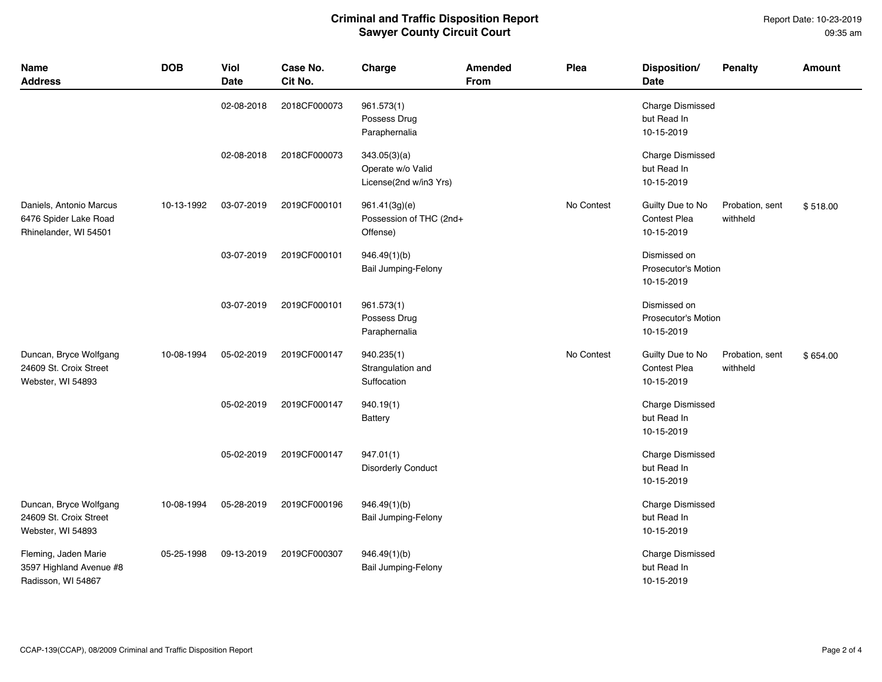#### Report Date: 10-23-2019 09:35 am

| <b>Name</b><br><b>Address</b>                                             | <b>DOB</b> | Viol<br>Date | Case No.<br>Cit No. | Charge                                                      | <b>Amended</b><br><b>From</b> | Plea       | Disposition/<br><b>Date</b>                              | <b>Penalty</b>              | <b>Amount</b> |
|---------------------------------------------------------------------------|------------|--------------|---------------------|-------------------------------------------------------------|-------------------------------|------------|----------------------------------------------------------|-----------------------------|---------------|
|                                                                           |            | 02-08-2018   | 2018CF000073        | 961.573(1)<br>Possess Drug<br>Paraphernalia                 |                               |            | <b>Charge Dismissed</b><br>but Read In<br>10-15-2019     |                             |               |
|                                                                           |            | 02-08-2018   | 2018CF000073        | 343.05(3)(a)<br>Operate w/o Valid<br>License(2nd w/in3 Yrs) |                               |            | <b>Charge Dismissed</b><br>but Read In<br>10-15-2019     |                             |               |
| Daniels, Antonio Marcus<br>6476 Spider Lake Road<br>Rhinelander, WI 54501 | 10-13-1992 | 03-07-2019   | 2019CF000101        | 961.41(3g)(e)<br>Possession of THC (2nd+<br>Offense)        |                               | No Contest | Guilty Due to No<br><b>Contest Plea</b><br>10-15-2019    | Probation, sent<br>withheld | \$518.00      |
|                                                                           |            | 03-07-2019   | 2019CF000101        | 946.49(1)(b)<br>Bail Jumping-Felony                         |                               |            | Dismissed on<br><b>Prosecutor's Motion</b><br>10-15-2019 |                             |               |
|                                                                           |            | 03-07-2019   | 2019CF000101        | 961.573(1)<br>Possess Drug<br>Paraphernalia                 |                               |            | Dismissed on<br><b>Prosecutor's Motion</b><br>10-15-2019 |                             |               |
| Duncan, Bryce Wolfgang<br>24609 St. Croix Street<br>Webster, WI 54893     | 10-08-1994 | 05-02-2019   | 2019CF000147        | 940.235(1)<br>Strangulation and<br>Suffocation              |                               | No Contest | Guilty Due to No<br>Contest Plea<br>10-15-2019           | Probation, sent<br>withheld | \$654.00      |
|                                                                           |            | 05-02-2019   | 2019CF000147        | 940.19(1)<br>Battery                                        |                               |            | <b>Charge Dismissed</b><br>but Read In<br>10-15-2019     |                             |               |
|                                                                           |            | 05-02-2019   | 2019CF000147        | 947.01(1)<br><b>Disorderly Conduct</b>                      |                               |            | <b>Charge Dismissed</b><br>but Read In<br>10-15-2019     |                             |               |
| Duncan, Bryce Wolfgang<br>24609 St. Croix Street<br>Webster, WI 54893     | 10-08-1994 | 05-28-2019   | 2019CF000196        | 946.49(1)(b)<br>Bail Jumping-Felony                         |                               |            | <b>Charge Dismissed</b><br>but Read In<br>10-15-2019     |                             |               |
| Fleming, Jaden Marie<br>3597 Highland Avenue #8<br>Radisson, WI 54867     | 05-25-1998 | 09-13-2019   | 2019CF000307        | 946.49(1)(b)<br><b>Bail Jumping-Felony</b>                  |                               |            | <b>Charge Dismissed</b><br>but Read In<br>10-15-2019     |                             |               |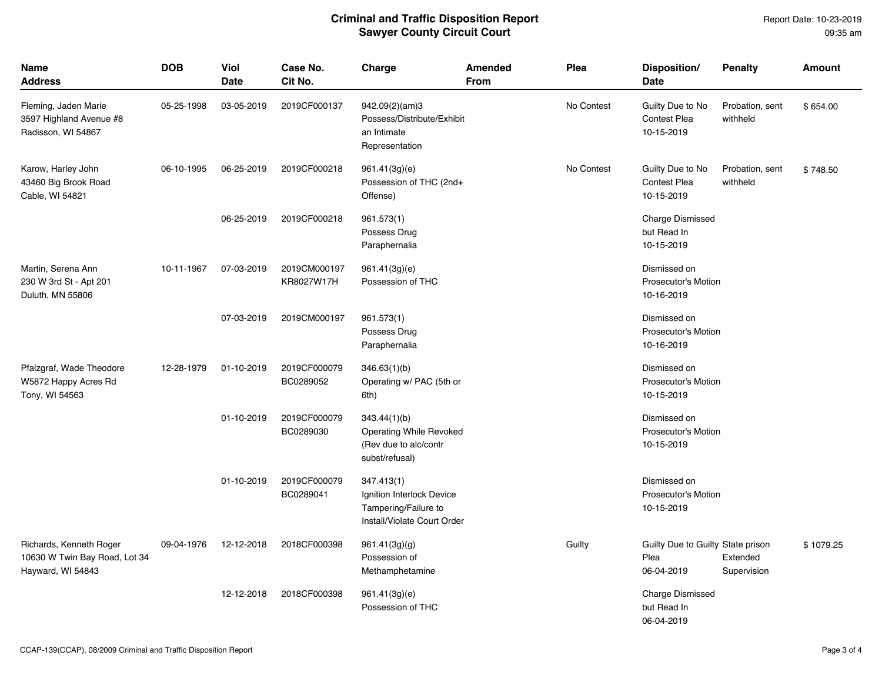| Name<br><b>Address</b>                                                        | <b>DOB</b> | Viol<br>Date | Case No.<br>Cit No.        | Charge                                                                                         | <b>Amended</b><br>From | Plea       | Disposition/<br><b>Date</b>                              | <b>Penalty</b>              | Amount    |
|-------------------------------------------------------------------------------|------------|--------------|----------------------------|------------------------------------------------------------------------------------------------|------------------------|------------|----------------------------------------------------------|-----------------------------|-----------|
| Fleming, Jaden Marie<br>3597 Highland Avenue #8<br>Radisson, WI 54867         | 05-25-1998 | 03-05-2019   | 2019CF000137               | 942.09(2)(am)3<br>Possess/Distribute/Exhibit<br>an Intimate<br>Representation                  |                        | No Contest | Guilty Due to No<br>Contest Plea<br>10-15-2019           | Probation, sent<br>withheld | \$654.00  |
| Karow, Harley John<br>43460 Big Brook Road<br>Cable, WI 54821                 | 06-10-1995 | 06-25-2019   | 2019CF000218               | 961.41(3g)(e)<br>Possession of THC (2nd+<br>Offense)                                           |                        | No Contest | Guilty Due to No<br><b>Contest Plea</b><br>10-15-2019    | Probation, sent<br>withheld | \$748.50  |
|                                                                               |            | 06-25-2019   | 2019CF000218               | 961.573(1)<br>Possess Drug<br>Paraphernalia                                                    |                        |            | <b>Charge Dismissed</b><br>but Read In<br>10-15-2019     |                             |           |
| Martin, Serena Ann<br>230 W 3rd St - Apt 201<br>Duluth, MN 55806              | 10-11-1967 | 07-03-2019   | 2019CM000197<br>KR8027W17H | 961.41(3g)(e)<br>Possession of THC                                                             |                        |            | Dismissed on<br>Prosecutor's Motion<br>10-16-2019        |                             |           |
|                                                                               |            | 07-03-2019   | 2019CM000197               | 961.573(1)<br>Possess Drug<br>Paraphernalia                                                    |                        |            | Dismissed on<br><b>Prosecutor's Motion</b><br>10-16-2019 |                             |           |
| Pfalzgraf, Wade Theodore<br>W5872 Happy Acres Rd<br>Tony, WI 54563            | 12-28-1979 | 01-10-2019   | 2019CF000079<br>BC0289052  | 346.63(1)(b)<br>Operating w/ PAC (5th or<br>6th)                                               |                        |            | Dismissed on<br>Prosecutor's Motion<br>10-15-2019        |                             |           |
|                                                                               |            | 01-10-2019   | 2019CF000079<br>BC0289030  | 343.44(1)(b)<br>Operating While Revoked<br>(Rev due to alc/contr<br>subst/refusal)             |                        |            | Dismissed on<br>Prosecutor's Motion<br>10-15-2019        |                             |           |
|                                                                               |            | 01-10-2019   | 2019CF000079<br>BC0289041  | 347.413(1)<br>Ignition Interlock Device<br>Tampering/Failure to<br>Install/Violate Court Order |                        |            | Dismissed on<br>Prosecutor's Motion<br>10-15-2019        |                             |           |
| Richards, Kenneth Roger<br>10630 W Twin Bay Road, Lot 34<br>Hayward, WI 54843 | 09-04-1976 | 12-12-2018   | 2018CF000398               | 961.41(3g)(g)<br>Possession of<br>Methamphetamine                                              |                        | Guilty     | Guilty Due to Guilty State prison<br>Plea<br>06-04-2019  | Extended<br>Supervision     | \$1079.25 |
|                                                                               |            | 12-12-2018   | 2018CF000398               | 961.41(3g)(e)<br>Possession of THC                                                             |                        |            | <b>Charge Dismissed</b><br>but Read In<br>06-04-2019     |                             |           |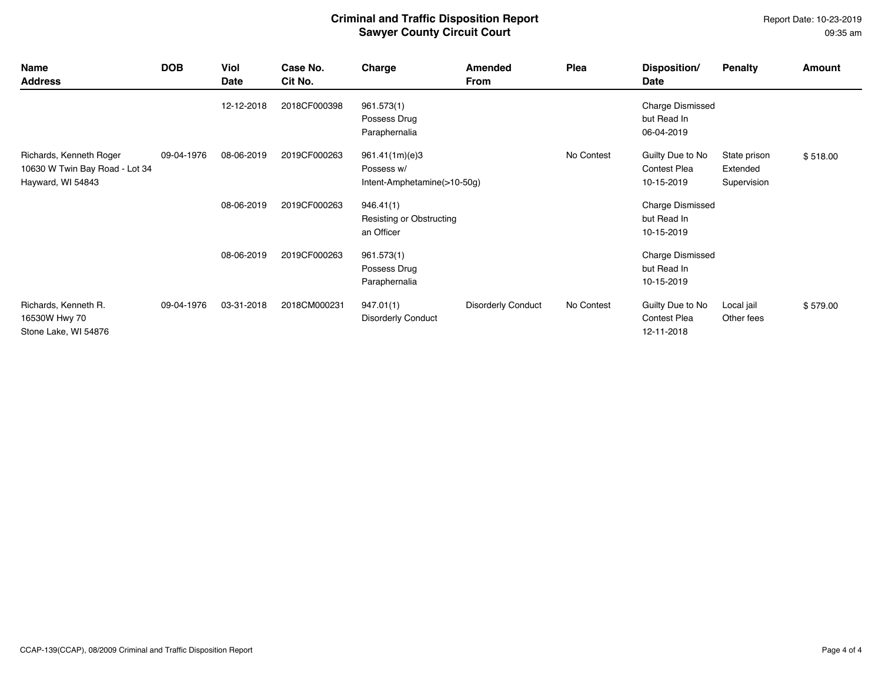Report Date: 10-23-2019 09:35 am

| <b>Name</b><br><b>Address</b>                                                  | <b>DOB</b> | <b>Viol</b><br>Date | Case No.<br>Cit No. | Charge                                                      | Amended<br>From           | Plea       | Disposition/<br>Date                                 | <b>Penalty</b>                          | <b>Amount</b> |
|--------------------------------------------------------------------------------|------------|---------------------|---------------------|-------------------------------------------------------------|---------------------------|------------|------------------------------------------------------|-----------------------------------------|---------------|
|                                                                                |            | 12-12-2018          | 2018CF000398        | 961.573(1)<br>Possess Drug<br>Paraphernalia                 |                           |            | <b>Charge Dismissed</b><br>but Read In<br>06-04-2019 |                                         |               |
| Richards, Kenneth Roger<br>10630 W Twin Bay Road - Lot 34<br>Hayward, WI 54843 | 09-04-1976 | 08-06-2019          | 2019CF000263        | 961.41(1m)(e)3<br>Possess w/<br>Intent-Amphetamine(>10-50g) |                           | No Contest | Guilty Due to No<br>Contest Plea<br>10-15-2019       | State prison<br>Extended<br>Supervision | \$518.00      |
|                                                                                |            | 08-06-2019          | 2019CF000263        | 946.41(1)<br>Resisting or Obstructing<br>an Officer         |                           |            | <b>Charge Dismissed</b><br>but Read In<br>10-15-2019 |                                         |               |
|                                                                                |            | 08-06-2019          | 2019CF000263        | 961.573(1)<br>Possess Drug<br>Paraphernalia                 |                           |            | <b>Charge Dismissed</b><br>but Read In<br>10-15-2019 |                                         |               |
| Richards, Kenneth R.<br>16530W Hwy 70<br>Stone Lake, WI 54876                  | 09-04-1976 | 03-31-2018          | 2018CM000231        | 947.01(1)<br><b>Disorderly Conduct</b>                      | <b>Disorderly Conduct</b> | No Contest | Guilty Due to No<br>Contest Plea<br>12-11-2018       | Local jail<br>Other fees                | \$579.00      |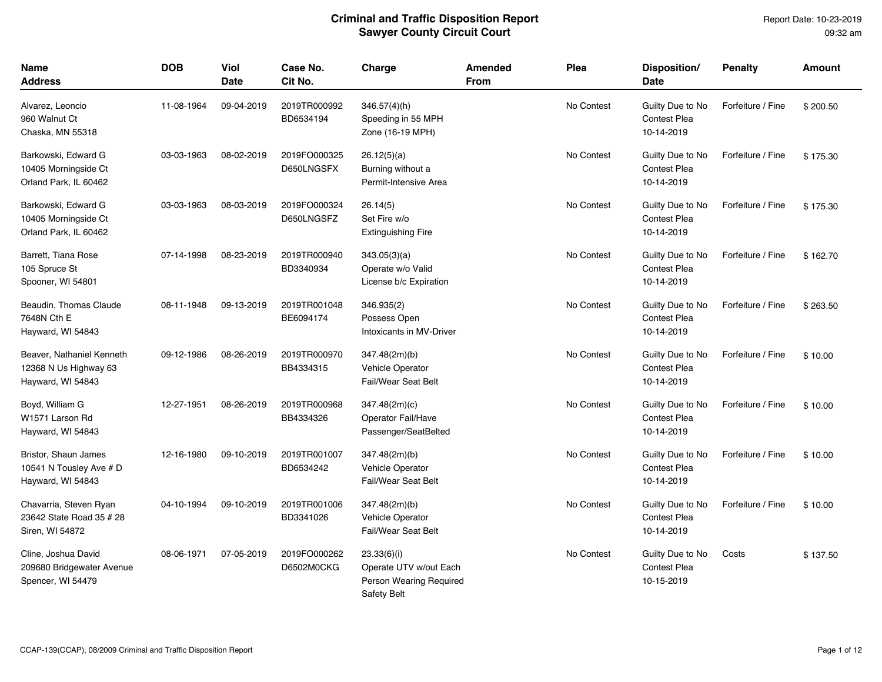| <b>Name</b><br>Address                                                  | <b>DOB</b> | Viol<br><b>Date</b> | Case No.<br>Cit No.        | Charge                                                                                 | <b>Amended</b><br><b>From</b> | Plea       | Disposition/<br>Date                                  | <b>Penalty</b>    | <b>Amount</b> |
|-------------------------------------------------------------------------|------------|---------------------|----------------------------|----------------------------------------------------------------------------------------|-------------------------------|------------|-------------------------------------------------------|-------------------|---------------|
| Alvarez, Leoncio<br>960 Walnut Ct<br>Chaska, MN 55318                   | 11-08-1964 | 09-04-2019          | 2019TR000992<br>BD6534194  | $346.57(4)$ (h)<br>Speeding in 55 MPH<br>Zone (16-19 MPH)                              |                               | No Contest | Guilty Due to No<br><b>Contest Plea</b><br>10-14-2019 | Forfeiture / Fine | \$200.50      |
| Barkowski, Edward G<br>10405 Morningside Ct<br>Orland Park, IL 60462    | 03-03-1963 | 08-02-2019          | 2019FO000325<br>D650LNGSFX | 26.12(5)(a)<br>Burning without a<br>Permit-Intensive Area                              |                               | No Contest | Guilty Due to No<br><b>Contest Plea</b><br>10-14-2019 | Forfeiture / Fine | \$175.30      |
| Barkowski, Edward G<br>10405 Morningside Ct<br>Orland Park, IL 60462    | 03-03-1963 | 08-03-2019          | 2019FO000324<br>D650LNGSFZ | 26.14(5)<br>Set Fire w/o<br><b>Extinguishing Fire</b>                                  |                               | No Contest | Guilty Due to No<br>Contest Plea<br>10-14-2019        | Forfeiture / Fine | \$175.30      |
| Barrett, Tiana Rose<br>105 Spruce St<br>Spooner, WI 54801               | 07-14-1998 | 08-23-2019          | 2019TR000940<br>BD3340934  | 343.05(3)(a)<br>Operate w/o Valid<br>License b/c Expiration                            |                               | No Contest | Guilty Due to No<br>Contest Plea<br>10-14-2019        | Forfeiture / Fine | \$162.70      |
| Beaudin, Thomas Claude<br>7648N Cth E<br>Hayward, WI 54843              | 08-11-1948 | 09-13-2019          | 2019TR001048<br>BE6094174  | 346.935(2)<br>Possess Open<br>Intoxicants in MV-Driver                                 |                               | No Contest | Guilty Due to No<br>Contest Plea<br>10-14-2019        | Forfeiture / Fine | \$263.50      |
| Beaver, Nathaniel Kenneth<br>12368 N Us Highway 63<br>Hayward, WI 54843 | 09-12-1986 | 08-26-2019          | 2019TR000970<br>BB4334315  | 347.48(2m)(b)<br><b>Vehicle Operator</b><br><b>Fail/Wear Seat Belt</b>                 |                               | No Contest | Guilty Due to No<br><b>Contest Plea</b><br>10-14-2019 | Forfeiture / Fine | \$10.00       |
| Boyd, William G<br>W <sub>1571</sub> Larson Rd<br>Hayward, WI 54843     | 12-27-1951 | 08-26-2019          | 2019TR000968<br>BB4334326  | 347.48(2m)(c)<br>Operator Fail/Have<br>Passenger/SeatBelted                            |                               | No Contest | Guilty Due to No<br><b>Contest Plea</b><br>10-14-2019 | Forfeiture / Fine | \$10.00       |
| Bristor, Shaun James<br>10541 N Tousley Ave # D<br>Hayward, WI 54843    | 12-16-1980 | 09-10-2019          | 2019TR001007<br>BD6534242  | 347.48(2m)(b)<br><b>Vehicle Operator</b><br>Fail/Wear Seat Belt                        |                               | No Contest | Guilty Due to No<br><b>Contest Plea</b><br>10-14-2019 | Forfeiture / Fine | \$10.00       |
| Chavarria, Steven Ryan<br>23642 State Road 35 # 28<br>Siren, WI 54872   | 04-10-1994 | 09-10-2019          | 2019TR001006<br>BD3341026  | 347.48(2m)(b)<br>Vehicle Operator<br>Fail/Wear Seat Belt                               |                               | No Contest | Guilty Due to No<br><b>Contest Plea</b><br>10-14-2019 | Forfeiture / Fine | \$10.00       |
| Cline, Joshua David<br>209680 Bridgewater Avenue<br>Spencer, WI 54479   | 08-06-1971 | 07-05-2019          | 2019FO000262<br>D6502M0CKG | 23.33(6)(i)<br>Operate UTV w/out Each<br>Person Wearing Required<br><b>Safety Belt</b> |                               | No Contest | Guilty Due to No<br><b>Contest Plea</b><br>10-15-2019 | Costs             | \$137.50      |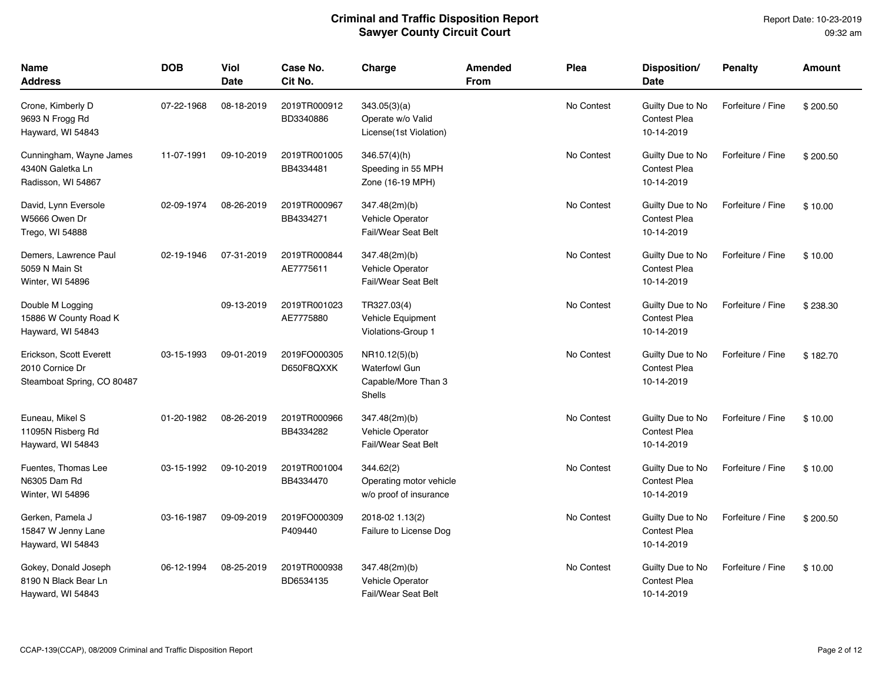| Name<br>Address                                                          | <b>DOB</b> | <b>Viol</b><br><b>Date</b> | Case No.<br>Cit No.        | Charge                                                                 | <b>Amended</b><br>From | Plea       | Disposition/<br>Date                                  | <b>Penalty</b>    | <b>Amount</b> |
|--------------------------------------------------------------------------|------------|----------------------------|----------------------------|------------------------------------------------------------------------|------------------------|------------|-------------------------------------------------------|-------------------|---------------|
| Crone, Kimberly D<br>9693 N Frogg Rd<br>Hayward, WI 54843                | 07-22-1968 | 08-18-2019                 | 2019TR000912<br>BD3340886  | 343.05(3)(a)<br>Operate w/o Valid<br>License(1st Violation)            |                        | No Contest | Guilty Due to No<br><b>Contest Plea</b><br>10-14-2019 | Forfeiture / Fine | \$200.50      |
| Cunningham, Wayne James<br>4340N Galetka Ln<br>Radisson, WI 54867        | 11-07-1991 | 09-10-2019                 | 2019TR001005<br>BB4334481  | $346.57(4)$ (h)<br>Speeding in 55 MPH<br>Zone (16-19 MPH)              |                        | No Contest | Guilty Due to No<br><b>Contest Plea</b><br>10-14-2019 | Forfeiture / Fine | \$200.50      |
| David, Lynn Eversole<br>W5666 Owen Dr<br>Trego, WI 54888                 | 02-09-1974 | 08-26-2019                 | 2019TR000967<br>BB4334271  | 347.48(2m)(b)<br><b>Vehicle Operator</b><br><b>Fail/Wear Seat Belt</b> |                        | No Contest | Guilty Due to No<br><b>Contest Plea</b><br>10-14-2019 | Forfeiture / Fine | \$10.00       |
| Demers, Lawrence Paul<br>5059 N Main St<br>Winter, WI 54896              | 02-19-1946 | 07-31-2019                 | 2019TR000844<br>AE7775611  | 347.48(2m)(b)<br><b>Vehicle Operator</b><br>Fail/Wear Seat Belt        |                        | No Contest | Guilty Due to No<br><b>Contest Plea</b><br>10-14-2019 | Forfeiture / Fine | \$10.00       |
| Double M Logging<br>15886 W County Road K<br>Hayward, WI 54843           |            | 09-13-2019                 | 2019TR001023<br>AE7775880  | TR327.03(4)<br><b>Vehicle Equipment</b><br>Violations-Group 1          |                        | No Contest | Guilty Due to No<br><b>Contest Plea</b><br>10-14-2019 | Forfeiture / Fine | \$238.30      |
| Erickson, Scott Everett<br>2010 Cornice Dr<br>Steamboat Spring, CO 80487 | 03-15-1993 | 09-01-2019                 | 2019FO000305<br>D650F8QXXK | NR10.12(5)(b)<br><b>Waterfowl Gun</b><br>Capable/More Than 3<br>Shells |                        | No Contest | Guilty Due to No<br><b>Contest Plea</b><br>10-14-2019 | Forfeiture / Fine | \$182.70      |
| Euneau, Mikel S<br>11095N Risberg Rd<br>Hayward, WI 54843                | 01-20-1982 | 08-26-2019                 | 2019TR000966<br>BB4334282  | 347.48(2m)(b)<br>Vehicle Operator<br><b>Fail/Wear Seat Belt</b>        |                        | No Contest | Guilty Due to No<br><b>Contest Plea</b><br>10-14-2019 | Forfeiture / Fine | \$10.00       |
| Fuentes, Thomas Lee<br>N6305 Dam Rd<br>Winter, WI 54896                  | 03-15-1992 | 09-10-2019                 | 2019TR001004<br>BB4334470  | 344.62(2)<br>Operating motor vehicle<br>w/o proof of insurance         |                        | No Contest | Guilty Due to No<br><b>Contest Plea</b><br>10-14-2019 | Forfeiture / Fine | \$10.00       |
| Gerken, Pamela J<br>15847 W Jenny Lane<br>Hayward, WI 54843              | 03-16-1987 | 09-09-2019                 | 2019FO000309<br>P409440    | 2018-02 1.13(2)<br>Failure to License Dog                              |                        | No Contest | Guilty Due to No<br>Contest Plea<br>10-14-2019        | Forfeiture / Fine | \$200.50      |
| Gokey, Donald Joseph<br>8190 N Black Bear Ln<br>Hayward, WI 54843        | 06-12-1994 | 08-25-2019                 | 2019TR000938<br>BD6534135  | 347.48(2m)(b)<br><b>Vehicle Operator</b><br><b>Fail/Wear Seat Belt</b> |                        | No Contest | Guilty Due to No<br>Contest Plea<br>10-14-2019        | Forfeiture / Fine | \$10.00       |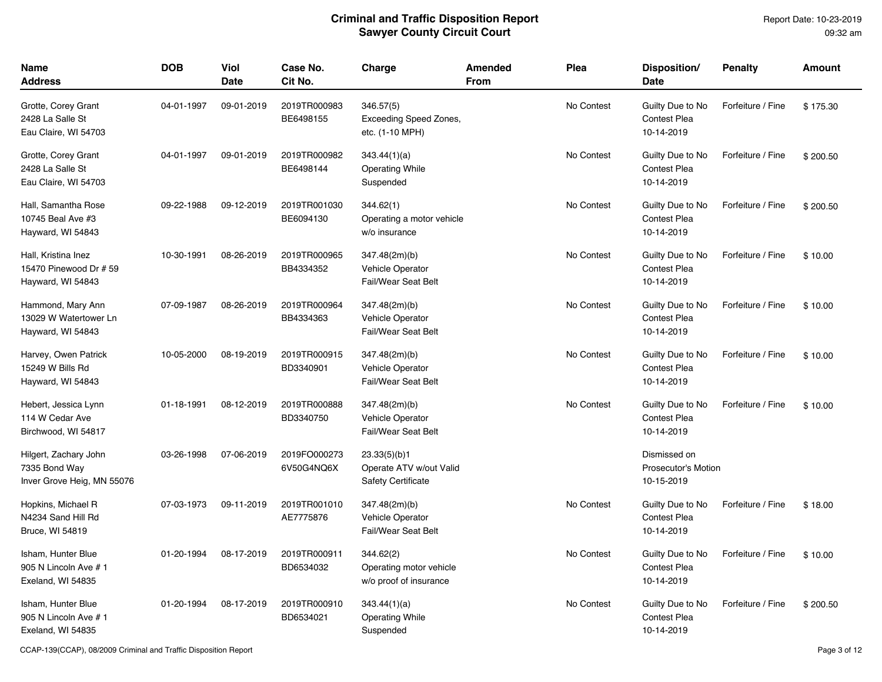| <b>Name</b><br>Address                                               | <b>DOB</b> | Viol<br><b>Date</b> | Case No.<br>Cit No.        | Charge                                                               | Amended<br>From | Plea       | Disposition/<br><b>Date</b>                           | <b>Penalty</b>    | <b>Amount</b> |
|----------------------------------------------------------------------|------------|---------------------|----------------------------|----------------------------------------------------------------------|-----------------|------------|-------------------------------------------------------|-------------------|---------------|
| Grotte, Corey Grant<br>2428 La Salle St<br>Eau Claire, WI 54703      | 04-01-1997 | 09-01-2019          | 2019TR000983<br>BE6498155  | 346.57(5)<br><b>Exceeding Speed Zones,</b><br>etc. (1-10 MPH)        |                 | No Contest | Guilty Due to No<br><b>Contest Plea</b><br>10-14-2019 | Forfeiture / Fine | \$175.30      |
| Grotte, Corey Grant<br>2428 La Salle St<br>Eau Claire, WI 54703      | 04-01-1997 | 09-01-2019          | 2019TR000982<br>BE6498144  | 343.44(1)(a)<br><b>Operating While</b><br>Suspended                  |                 | No Contest | Guilty Due to No<br><b>Contest Plea</b><br>10-14-2019 | Forfeiture / Fine | \$200.50      |
| Hall, Samantha Rose<br>10745 Beal Ave #3<br>Hayward, WI 54843        | 09-22-1988 | 09-12-2019          | 2019TR001030<br>BE6094130  | 344.62(1)<br>Operating a motor vehicle<br>w/o insurance              |                 | No Contest | Guilty Due to No<br><b>Contest Plea</b><br>10-14-2019 | Forfeiture / Fine | \$200.50      |
| Hall, Kristina Inez<br>15470 Pinewood Dr # 59<br>Hayward, WI 54843   | 10-30-1991 | 08-26-2019          | 2019TR000965<br>BB4334352  | 347.48(2m)(b)<br>Vehicle Operator<br>Fail/Wear Seat Belt             |                 | No Contest | Guilty Due to No<br><b>Contest Plea</b><br>10-14-2019 | Forfeiture / Fine | \$10.00       |
| Hammond, Mary Ann<br>13029 W Watertower Ln<br>Hayward, WI 54843      | 07-09-1987 | 08-26-2019          | 2019TR000964<br>BB4334363  | 347.48(2m)(b)<br><b>Vehicle Operator</b><br>Fail/Wear Seat Belt      |                 | No Contest | Guilty Due to No<br><b>Contest Plea</b><br>10-14-2019 | Forfeiture / Fine | \$10.00       |
| Harvey, Owen Patrick<br>15249 W Bills Rd<br>Hayward, WI 54843        | 10-05-2000 | 08-19-2019          | 2019TR000915<br>BD3340901  | 347.48(2m)(b)<br><b>Vehicle Operator</b><br>Fail/Wear Seat Belt      |                 | No Contest | Guilty Due to No<br><b>Contest Plea</b><br>10-14-2019 | Forfeiture / Fine | \$10.00       |
| Hebert, Jessica Lynn<br>114 W Cedar Ave<br>Birchwood, WI 54817       | 01-18-1991 | 08-12-2019          | 2019TR000888<br>BD3340750  | 347.48(2m)(b)<br>Vehicle Operator<br><b>Fail/Wear Seat Belt</b>      |                 | No Contest | Guilty Due to No<br><b>Contest Plea</b><br>10-14-2019 | Forfeiture / Fine | \$10.00       |
| Hilgert, Zachary John<br>7335 Bond Way<br>Inver Grove Heig, MN 55076 | 03-26-1998 | 07-06-2019          | 2019FO000273<br>6V50G4NQ6X | 23.33(5)(b)1<br>Operate ATV w/out Valid<br><b>Safety Certificate</b> |                 |            | Dismissed on<br>Prosecutor's Motion<br>10-15-2019     |                   |               |
| Hopkins, Michael R<br>N4234 Sand Hill Rd<br>Bruce, WI 54819          | 07-03-1973 | 09-11-2019          | 2019TR001010<br>AE7775876  | 347.48(2m)(b)<br><b>Vehicle Operator</b><br>Fail/Wear Seat Belt      |                 | No Contest | Guilty Due to No<br><b>Contest Plea</b><br>10-14-2019 | Forfeiture / Fine | \$18.00       |
| Isham, Hunter Blue<br>905 N Lincoln Ave #1<br>Exeland, WI 54835      | 01-20-1994 | 08-17-2019          | 2019TR000911<br>BD6534032  | 344.62(2)<br>Operating motor vehicle<br>w/o proof of insurance       |                 | No Contest | Guilty Due to No<br><b>Contest Plea</b><br>10-14-2019 | Forfeiture / Fine | \$10.00       |
| Isham, Hunter Blue<br>905 N Lincoln Ave # 1<br>Exeland, WI 54835     | 01-20-1994 | 08-17-2019          | 2019TR000910<br>BD6534021  | 343.44(1)(a)<br><b>Operating While</b><br>Suspended                  |                 | No Contest | Guilty Due to No<br><b>Contest Plea</b><br>10-14-2019 | Forfeiture / Fine | \$200.50      |

CCAP-139(CCAP), 08/2009 Criminal and Traffic Disposition Report **Page 3 of 12** and Traffic Disposition Report Page 3 of 12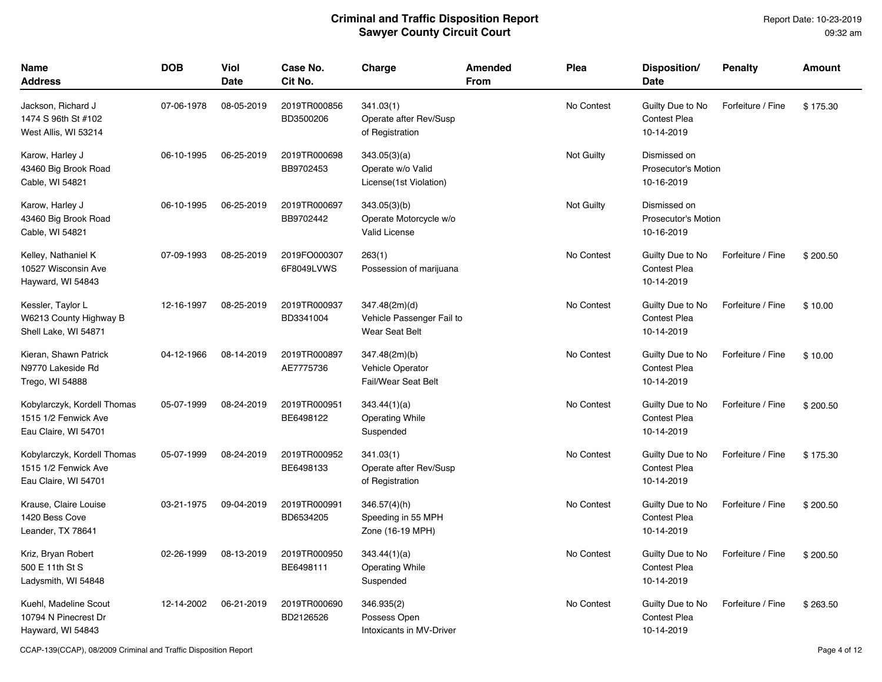| <b>Name</b><br><b>Address</b>                                               | <b>DOB</b> | Viol<br><b>Date</b> | Case No.<br>Cit No.        | Charge                                                          | Amended<br>From | Plea              | Disposition/<br><b>Date</b>                              | <b>Penalty</b>    | <b>Amount</b> |
|-----------------------------------------------------------------------------|------------|---------------------|----------------------------|-----------------------------------------------------------------|-----------------|-------------------|----------------------------------------------------------|-------------------|---------------|
| Jackson, Richard J<br>1474 S 96th St #102<br>West Allis, WI 53214           | 07-06-1978 | 08-05-2019          | 2019TR000856<br>BD3500206  | 341.03(1)<br>Operate after Rev/Susp<br>of Registration          |                 | No Contest        | Guilty Due to No<br><b>Contest Plea</b><br>10-14-2019    | Forfeiture / Fine | \$175.30      |
| Karow, Harley J<br>43460 Big Brook Road<br>Cable, WI 54821                  | 06-10-1995 | 06-25-2019          | 2019TR000698<br>BB9702453  | 343.05(3)(a)<br>Operate w/o Valid<br>License(1st Violation)     |                 | Not Guilty        | Dismissed on<br><b>Prosecutor's Motion</b><br>10-16-2019 |                   |               |
| Karow, Harley J<br>43460 Big Brook Road<br>Cable, WI 54821                  | 06-10-1995 | 06-25-2019          | 2019TR000697<br>BB9702442  | 343.05(3)(b)<br>Operate Motorcycle w/o<br><b>Valid License</b>  |                 | <b>Not Guilty</b> | Dismissed on<br><b>Prosecutor's Motion</b><br>10-16-2019 |                   |               |
| Kelley, Nathaniel K<br>10527 Wisconsin Ave<br>Hayward, WI 54843             | 07-09-1993 | 08-25-2019          | 2019FO000307<br>6F8049LVWS | 263(1)<br>Possession of marijuana                               |                 | No Contest        | Guilty Due to No<br><b>Contest Plea</b><br>10-14-2019    | Forfeiture / Fine | \$200.50      |
| Kessler, Taylor L<br>W6213 County Highway B<br>Shell Lake, WI 54871         | 12-16-1997 | 08-25-2019          | 2019TR000937<br>BD3341004  | 347.48(2m)(d)<br>Vehicle Passenger Fail to<br>Wear Seat Belt    |                 | No Contest        | Guilty Due to No<br><b>Contest Plea</b><br>10-14-2019    | Forfeiture / Fine | \$10.00       |
| Kieran, Shawn Patrick<br>N9770 Lakeside Rd<br>Trego, WI 54888               | 04-12-1966 | 08-14-2019          | 2019TR000897<br>AE7775736  | 347.48(2m)(b)<br>Vehicle Operator<br><b>Fail/Wear Seat Belt</b> |                 | No Contest        | Guilty Due to No<br>Contest Plea<br>10-14-2019           | Forfeiture / Fine | \$10.00       |
| Kobylarczyk, Kordell Thomas<br>1515 1/2 Fenwick Ave<br>Eau Claire, WI 54701 | 05-07-1999 | 08-24-2019          | 2019TR000951<br>BE6498122  | 343.44(1)(a)<br><b>Operating While</b><br>Suspended             |                 | No Contest        | Guilty Due to No<br><b>Contest Plea</b><br>10-14-2019    | Forfeiture / Fine | \$200.50      |
| Kobylarczyk, Kordell Thomas<br>1515 1/2 Fenwick Ave<br>Eau Claire, WI 54701 | 05-07-1999 | 08-24-2019          | 2019TR000952<br>BE6498133  | 341.03(1)<br>Operate after Rev/Susp<br>of Registration          |                 | No Contest        | Guilty Due to No<br><b>Contest Plea</b><br>10-14-2019    | Forfeiture / Fine | \$175.30      |
| Krause, Claire Louise<br>1420 Bess Cove<br>Leander, TX 78641                | 03-21-1975 | 09-04-2019          | 2019TR000991<br>BD6534205  | $346.57(4)$ (h)<br>Speeding in 55 MPH<br>Zone (16-19 MPH)       |                 | No Contest        | Guilty Due to No<br><b>Contest Plea</b><br>10-14-2019    | Forfeiture / Fine | \$200.50      |
| Kriz, Bryan Robert<br>500 E 11th St S<br>Ladysmith, WI 54848                | 02-26-1999 | 08-13-2019          | 2019TR000950<br>BE6498111  | 343.44(1)(a)<br><b>Operating While</b><br>Suspended             |                 | No Contest        | Guilty Due to No<br><b>Contest Plea</b><br>10-14-2019    | Forfeiture / Fine | \$200.50      |
| Kuehl, Madeline Scout<br>10794 N Pinecrest Dr<br>Hayward, WI 54843          | 12-14-2002 | 06-21-2019          | 2019TR000690<br>BD2126526  | 346.935(2)<br>Possess Open<br>Intoxicants in MV-Driver          |                 | No Contest        | Guilty Due to No<br><b>Contest Plea</b><br>10-14-2019    | Forfeiture / Fine | \$263.50      |

CCAP-139(CCAP), 08/2009 Criminal and Traffic Disposition Report **Page 4 of 12** and Traffic Disposition Report Page 4 of 12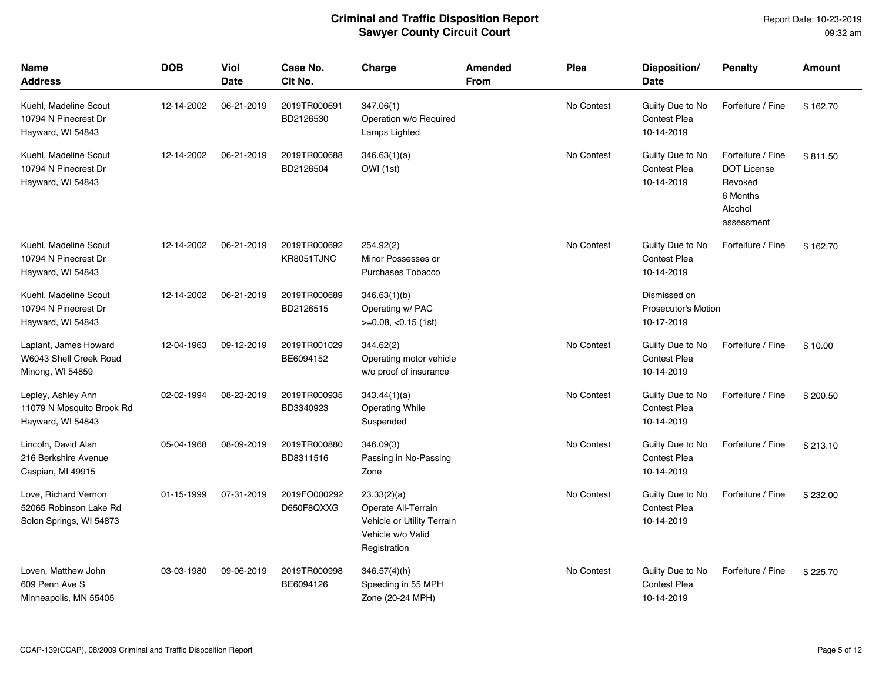| <b>Name</b><br><b>Address</b>                                             | <b>DOB</b> | <b>Viol</b><br>Date | Case No.<br>Cit No.        | Charge                                                                                                | <b>Amended</b><br><b>From</b> | Plea       | Disposition/<br><b>Date</b>                              | <b>Penalty</b>                                                                          | <b>Amount</b> |
|---------------------------------------------------------------------------|------------|---------------------|----------------------------|-------------------------------------------------------------------------------------------------------|-------------------------------|------------|----------------------------------------------------------|-----------------------------------------------------------------------------------------|---------------|
| Kuehl, Madeline Scout<br>10794 N Pinecrest Dr<br>Hayward, WI 54843        | 12-14-2002 | 06-21-2019          | 2019TR000691<br>BD2126530  | 347.06(1)<br>Operation w/o Required<br>Lamps Lighted                                                  |                               | No Contest | Guilty Due to No<br><b>Contest Plea</b><br>10-14-2019    | Forfeiture / Fine                                                                       | \$162.70      |
| Kuehl, Madeline Scout<br>10794 N Pinecrest Dr<br>Hayward, WI 54843        | 12-14-2002 | 06-21-2019          | 2019TR000688<br>BD2126504  | 346.63(1)(a)<br>OWI (1st)                                                                             |                               | No Contest | Guilty Due to No<br><b>Contest Plea</b><br>10-14-2019    | Forfeiture / Fine<br><b>DOT License</b><br>Revoked<br>6 Months<br>Alcohol<br>assessment | \$811.50      |
| Kuehl, Madeline Scout<br>10794 N Pinecrest Dr<br>Hayward, WI 54843        | 12-14-2002 | 06-21-2019          | 2019TR000692<br>KR8051TJNC | 254.92(2)<br>Minor Possesses or<br>Purchases Tobacco                                                  |                               | No Contest | Guilty Due to No<br><b>Contest Plea</b><br>10-14-2019    | Forfeiture / Fine                                                                       | \$162.70      |
| Kuehl, Madeline Scout<br>10794 N Pinecrest Dr<br>Hayward, WI 54843        | 12-14-2002 | 06-21-2019          | 2019TR000689<br>BD2126515  | 346.63(1)(b)<br>Operating w/ PAC<br>$>=0.08, <0.15$ (1st)                                             |                               |            | Dismissed on<br><b>Prosecutor's Motion</b><br>10-17-2019 |                                                                                         |               |
| Laplant, James Howard<br>W6043 Shell Creek Road<br>Minong, WI 54859       | 12-04-1963 | 09-12-2019          | 2019TR001029<br>BE6094152  | 344.62(2)<br>Operating motor vehicle<br>w/o proof of insurance                                        |                               | No Contest | Guilty Due to No<br><b>Contest Plea</b><br>10-14-2019    | Forfeiture / Fine                                                                       | \$10.00       |
| Lepley, Ashley Ann<br>11079 N Mosquito Brook Rd<br>Hayward, WI 54843      | 02-02-1994 | 08-23-2019          | 2019TR000935<br>BD3340923  | 343.44(1)(a)<br><b>Operating While</b><br>Suspended                                                   |                               | No Contest | Guilty Due to No<br><b>Contest Plea</b><br>10-14-2019    | Forfeiture / Fine                                                                       | \$200.50      |
| Lincoln, David Alan<br>216 Berkshire Avenue<br>Caspian, MI 49915          | 05-04-1968 | 08-09-2019          | 2019TR000880<br>BD8311516  | 346.09(3)<br>Passing in No-Passing<br>Zone                                                            |                               | No Contest | Guilty Due to No<br><b>Contest Plea</b><br>10-14-2019    | Forfeiture / Fine                                                                       | \$213.10      |
| Love, Richard Vernon<br>52065 Robinson Lake Rd<br>Solon Springs, WI 54873 | 01-15-1999 | 07-31-2019          | 2019FO000292<br>D650F8QXXG | 23.33(2)(a)<br>Operate All-Terrain<br>Vehicle or Utility Terrain<br>Vehicle w/o Valid<br>Registration |                               | No Contest | Guilty Due to No<br><b>Contest Plea</b><br>10-14-2019    | Forfeiture / Fine                                                                       | \$232.00      |
| Loven, Matthew John<br>609 Penn Ave S<br>Minneapolis, MN 55405            | 03-03-1980 | 09-06-2019          | 2019TR000998<br>BE6094126  | 346.57(4)(h)<br>Speeding in 55 MPH<br>Zone (20-24 MPH)                                                |                               | No Contest | Guilty Due to No<br><b>Contest Plea</b><br>10-14-2019    | Forfeiture / Fine                                                                       | \$225.70      |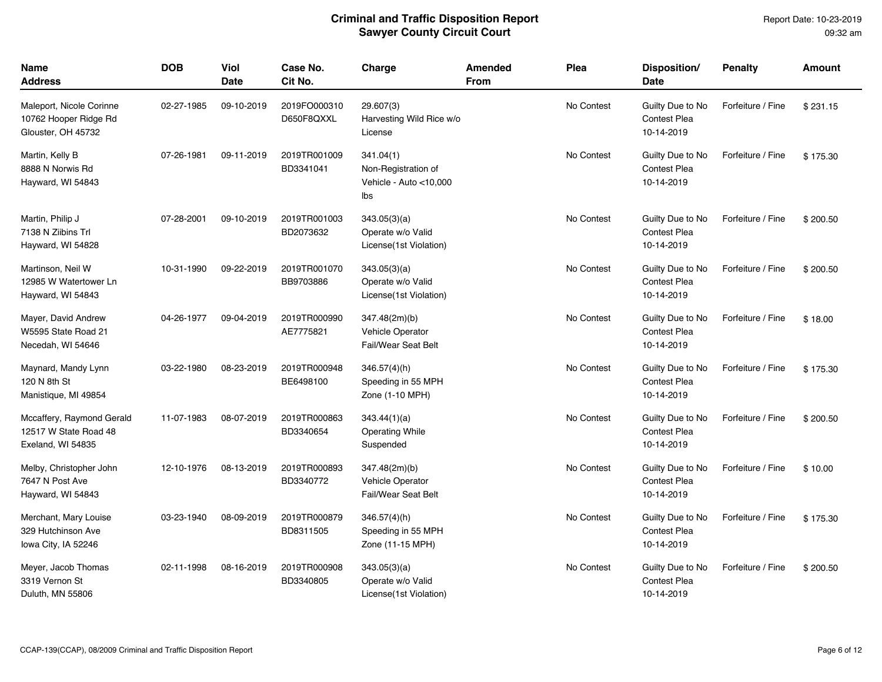| <b>Name</b><br><b>Address</b>                                           | <b>DOB</b> | <b>Viol</b><br>Date | Case No.<br>Cit No.        | Charge                                                                 | <b>Amended</b><br>From | Plea       | Disposition/<br><b>Date</b>                           | <b>Penalty</b>    | <b>Amount</b> |
|-------------------------------------------------------------------------|------------|---------------------|----------------------------|------------------------------------------------------------------------|------------------------|------------|-------------------------------------------------------|-------------------|---------------|
| Maleport, Nicole Corinne<br>10762 Hooper Ridge Rd<br>Glouster, OH 45732 | 02-27-1985 | 09-10-2019          | 2019FO000310<br>D650F8QXXL | 29.607(3)<br>Harvesting Wild Rice w/o<br>License                       |                        | No Contest | Guilty Due to No<br><b>Contest Plea</b><br>10-14-2019 | Forfeiture / Fine | \$231.15      |
| Martin, Kelly B<br>8888 N Norwis Rd<br>Hayward, WI 54843                | 07-26-1981 | 09-11-2019          | 2019TR001009<br>BD3341041  | 341.04(1)<br>Non-Registration of<br>Vehicle - Auto $<$ 10,000<br>lbs   |                        | No Contest | Guilty Due to No<br><b>Contest Plea</b><br>10-14-2019 | Forfeiture / Fine | \$175.30      |
| Martin, Philip J<br>7138 N Ziibins Trl<br>Hayward, WI 54828             | 07-28-2001 | 09-10-2019          | 2019TR001003<br>BD2073632  | 343.05(3)(a)<br>Operate w/o Valid<br>License(1st Violation)            |                        | No Contest | Guilty Due to No<br><b>Contest Plea</b><br>10-14-2019 | Forfeiture / Fine | \$200.50      |
| Martinson, Neil W<br>12985 W Watertower Ln<br>Hayward, WI 54843         | 10-31-1990 | 09-22-2019          | 2019TR001070<br>BB9703886  | 343.05(3)(a)<br>Operate w/o Valid<br>License (1st Violation)           |                        | No Contest | Guilty Due to No<br><b>Contest Plea</b><br>10-14-2019 | Forfeiture / Fine | \$200.50      |
| Mayer, David Andrew<br>W5595 State Road 21<br>Necedah, WI 54646         | 04-26-1977 | 09-04-2019          | 2019TR000990<br>AE7775821  | 347.48(2m)(b)<br><b>Vehicle Operator</b><br>Fail/Wear Seat Belt        |                        | No Contest | Guilty Due to No<br><b>Contest Plea</b><br>10-14-2019 | Forfeiture / Fine | \$18.00       |
| Maynard, Mandy Lynn<br>120 N 8th St<br>Manistique, MI 49854             | 03-22-1980 | 08-23-2019          | 2019TR000948<br>BE6498100  | $346.57(4)$ (h)<br>Speeding in 55 MPH<br>Zone (1-10 MPH)               |                        | No Contest | Guilty Due to No<br><b>Contest Plea</b><br>10-14-2019 | Forfeiture / Fine | \$175.30      |
| Mccaffery, Raymond Gerald<br>12517 W State Road 48<br>Exeland, WI 54835 | 11-07-1983 | 08-07-2019          | 2019TR000863<br>BD3340654  | 343.44(1)(a)<br><b>Operating While</b><br>Suspended                    |                        | No Contest | Guilty Due to No<br><b>Contest Plea</b><br>10-14-2019 | Forfeiture / Fine | \$200.50      |
| Melby, Christopher John<br>7647 N Post Ave<br>Hayward, WI 54843         | 12-10-1976 | 08-13-2019          | 2019TR000893<br>BD3340772  | 347.48(2m)(b)<br><b>Vehicle Operator</b><br><b>Fail/Wear Seat Belt</b> |                        | No Contest | Guilty Due to No<br><b>Contest Plea</b><br>10-14-2019 | Forfeiture / Fine | \$10.00       |
| Merchant, Mary Louise<br>329 Hutchinson Ave<br>lowa City, IA 52246      | 03-23-1940 | 08-09-2019          | 2019TR000879<br>BD8311505  | 346.57(4)(h)<br>Speeding in 55 MPH<br>Zone (11-15 MPH)                 |                        | No Contest | Guilty Due to No<br><b>Contest Plea</b><br>10-14-2019 | Forfeiture / Fine | \$175.30      |
| Meyer, Jacob Thomas<br>3319 Vernon St<br>Duluth, MN 55806               | 02-11-1998 | 08-16-2019          | 2019TR000908<br>BD3340805  | 343.05(3)(a)<br>Operate w/o Valid<br>License(1st Violation)            |                        | No Contest | Guilty Due to No<br>Contest Plea<br>10-14-2019        | Forfeiture / Fine | \$200.50      |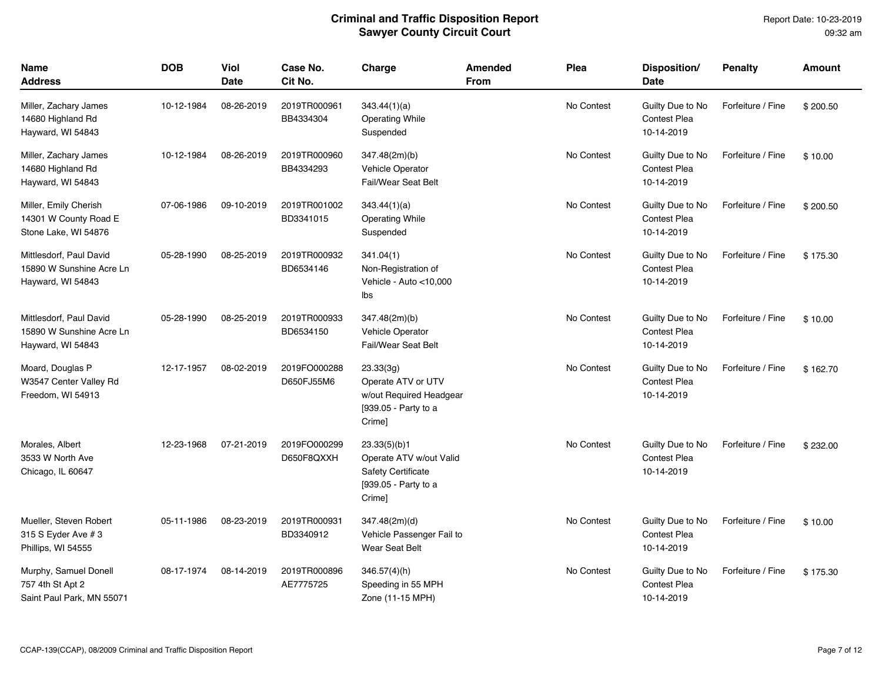| <b>Name</b><br><b>Address</b>                                            | <b>DOB</b> | Viol<br>Date | Case No.<br>Cit No.        | Charge                                                                                                 | Amended<br><b>From</b> | Plea       | Disposition/<br><b>Date</b>                           | <b>Penalty</b>    | <b>Amount</b> |
|--------------------------------------------------------------------------|------------|--------------|----------------------------|--------------------------------------------------------------------------------------------------------|------------------------|------------|-------------------------------------------------------|-------------------|---------------|
| Miller, Zachary James<br>14680 Highland Rd<br>Hayward, WI 54843          | 10-12-1984 | 08-26-2019   | 2019TR000961<br>BB4334304  | 343.44(1)(a)<br><b>Operating While</b><br>Suspended                                                    |                        | No Contest | Guilty Due to No<br><b>Contest Plea</b><br>10-14-2019 | Forfeiture / Fine | \$200.50      |
| Miller, Zachary James<br>14680 Highland Rd<br>Hayward, WI 54843          | 10-12-1984 | 08-26-2019   | 2019TR000960<br>BB4334293  | 347.48(2m)(b)<br><b>Vehicle Operator</b><br><b>Fail/Wear Seat Belt</b>                                 |                        | No Contest | Guilty Due to No<br><b>Contest Plea</b><br>10-14-2019 | Forfeiture / Fine | \$10.00       |
| Miller, Emily Cherish<br>14301 W County Road E<br>Stone Lake, WI 54876   | 07-06-1986 | 09-10-2019   | 2019TR001002<br>BD3341015  | 343.44(1)(a)<br><b>Operating While</b><br>Suspended                                                    |                        | No Contest | Guilty Due to No<br><b>Contest Plea</b><br>10-14-2019 | Forfeiture / Fine | \$200.50      |
| Mittlesdorf, Paul David<br>15890 W Sunshine Acre Ln<br>Hayward, WI 54843 | 05-28-1990 | 08-25-2019   | 2019TR000932<br>BD6534146  | 341.04(1)<br>Non-Registration of<br>Vehicle - Auto <10,000<br>Ibs                                      |                        | No Contest | Guilty Due to No<br><b>Contest Plea</b><br>10-14-2019 | Forfeiture / Fine | \$175.30      |
| Mittlesdorf, Paul David<br>15890 W Sunshine Acre Ln<br>Hayward, WI 54843 | 05-28-1990 | 08-25-2019   | 2019TR000933<br>BD6534150  | 347.48(2m)(b)<br><b>Vehicle Operator</b><br><b>Fail/Wear Seat Belt</b>                                 |                        | No Contest | Guilty Due to No<br><b>Contest Plea</b><br>10-14-2019 | Forfeiture / Fine | \$10.00       |
| Moard, Douglas P<br>W3547 Center Valley Rd<br>Freedom, WI 54913          | 12-17-1957 | 08-02-2019   | 2019FO000288<br>D650FJ55M6 | 23.33(3q)<br>Operate ATV or UTV<br>w/out Required Headgear<br>[939.05 - Party to a<br>Crime]           |                        | No Contest | Guilty Due to No<br><b>Contest Plea</b><br>10-14-2019 | Forfeiture / Fine | \$162.70      |
| Morales, Albert<br>3533 W North Ave<br>Chicago, IL 60647                 | 12-23-1968 | 07-21-2019   | 2019FO000299<br>D650F8QXXH | 23.33(5)(b)1<br>Operate ATV w/out Valid<br><b>Safety Certificate</b><br>[939.05 - Party to a<br>Crime] |                        | No Contest | Guilty Due to No<br><b>Contest Plea</b><br>10-14-2019 | Forfeiture / Fine | \$232.00      |
| Mueller, Steven Robert<br>315 S Eyder Ave # 3<br>Phillips, WI 54555      | 05-11-1986 | 08-23-2019   | 2019TR000931<br>BD3340912  | 347.48(2m)(d)<br>Vehicle Passenger Fail to<br>Wear Seat Belt                                           |                        | No Contest | Guilty Due to No<br>Contest Plea<br>10-14-2019        | Forfeiture / Fine | \$10.00       |
| Murphy, Samuel Donell<br>757 4th St Apt 2<br>Saint Paul Park, MN 55071   | 08-17-1974 | 08-14-2019   | 2019TR000896<br>AE7775725  | $346.57(4)$ (h)<br>Speeding in 55 MPH<br>Zone (11-15 MPH)                                              |                        | No Contest | Guilty Due to No<br><b>Contest Plea</b><br>10-14-2019 | Forfeiture / Fine | \$175.30      |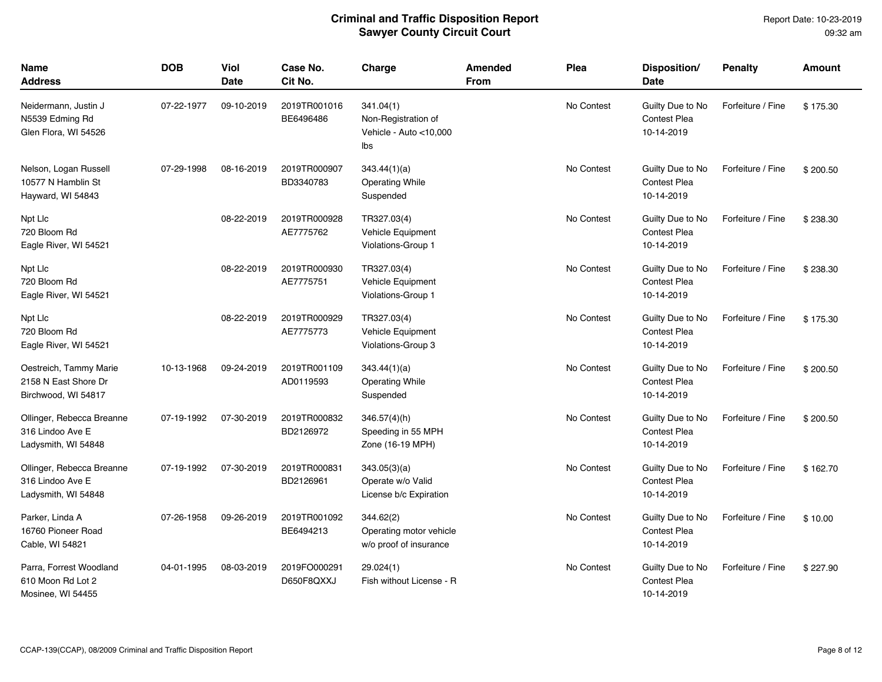| <b>Name</b><br><b>Address</b>                                         | <b>DOB</b> | <b>Viol</b><br><b>Date</b> | Case No.<br>Cit No.        | Charge                                                               | Amended<br>From | Plea       | Disposition/<br>Date                                  | <b>Penalty</b>    | Amount   |
|-----------------------------------------------------------------------|------------|----------------------------|----------------------------|----------------------------------------------------------------------|-----------------|------------|-------------------------------------------------------|-------------------|----------|
| Neidermann, Justin J<br>N5539 Edming Rd<br>Glen Flora, WI 54526       | 07-22-1977 | 09-10-2019                 | 2019TR001016<br>BE6496486  | 341.04(1)<br>Non-Registration of<br>Vehicle - Auto $<$ 10,000<br>lbs |                 | No Contest | Guilty Due to No<br>Contest Plea<br>10-14-2019        | Forfeiture / Fine | \$175.30 |
| Nelson, Logan Russell<br>10577 N Hamblin St<br>Hayward, WI 54843      | 07-29-1998 | 08-16-2019                 | 2019TR000907<br>BD3340783  | 343.44(1)(a)<br><b>Operating While</b><br>Suspended                  |                 | No Contest | Guilty Due to No<br>Contest Plea<br>10-14-2019        | Forfeiture / Fine | \$200.50 |
| Npt Llc<br>720 Bloom Rd<br>Eagle River, WI 54521                      |            | 08-22-2019                 | 2019TR000928<br>AE7775762  | TR327.03(4)<br><b>Vehicle Equipment</b><br>Violations-Group 1        |                 | No Contest | Guilty Due to No<br><b>Contest Plea</b><br>10-14-2019 | Forfeiture / Fine | \$238.30 |
| Npt Lic<br>720 Bloom Rd<br>Eagle River, WI 54521                      |            | 08-22-2019                 | 2019TR000930<br>AE7775751  | TR327.03(4)<br>Vehicle Equipment<br>Violations-Group 1               |                 | No Contest | Guilty Due to No<br>Contest Plea<br>10-14-2019        | Forfeiture / Fine | \$238.30 |
| Npt Llc<br>720 Bloom Rd<br>Eagle River, WI 54521                      |            | 08-22-2019                 | 2019TR000929<br>AE7775773  | TR327.03(4)<br><b>Vehicle Equipment</b><br>Violations-Group 3        |                 | No Contest | Guilty Due to No<br><b>Contest Plea</b><br>10-14-2019 | Forfeiture / Fine | \$175.30 |
| Oestreich, Tammy Marie<br>2158 N East Shore Dr<br>Birchwood, WI 54817 | 10-13-1968 | 09-24-2019                 | 2019TR001109<br>AD0119593  | 343.44(1)(a)<br><b>Operating While</b><br>Suspended                  |                 | No Contest | Guilty Due to No<br><b>Contest Plea</b><br>10-14-2019 | Forfeiture / Fine | \$200.50 |
| Ollinger, Rebecca Breanne<br>316 Lindoo Ave E<br>Ladysmith, WI 54848  | 07-19-1992 | 07-30-2019                 | 2019TR000832<br>BD2126972  | $346.57(4)$ (h)<br>Speeding in 55 MPH<br>Zone (16-19 MPH)            |                 | No Contest | Guilty Due to No<br><b>Contest Plea</b><br>10-14-2019 | Forfeiture / Fine | \$200.50 |
| Ollinger, Rebecca Breanne<br>316 Lindoo Ave E<br>Ladysmith, WI 54848  | 07-19-1992 | 07-30-2019                 | 2019TR000831<br>BD2126961  | 343.05(3)(a)<br>Operate w/o Valid<br>License b/c Expiration          |                 | No Contest | Guilty Due to No<br><b>Contest Plea</b><br>10-14-2019 | Forfeiture / Fine | \$162.70 |
| Parker, Linda A<br>16760 Pioneer Road<br>Cable, WI 54821              | 07-26-1958 | 09-26-2019                 | 2019TR001092<br>BE6494213  | 344.62(2)<br>Operating motor vehicle<br>w/o proof of insurance       |                 | No Contest | Guilty Due to No<br>Contest Plea<br>10-14-2019        | Forfeiture / Fine | \$10.00  |
| Parra, Forrest Woodland<br>610 Moon Rd Lot 2<br>Mosinee, WI 54455     | 04-01-1995 | 08-03-2019                 | 2019FO000291<br>D650F8QXXJ | 29.024(1)<br>Fish without License - R                                |                 | No Contest | Guilty Due to No<br><b>Contest Plea</b><br>10-14-2019 | Forfeiture / Fine | \$227.90 |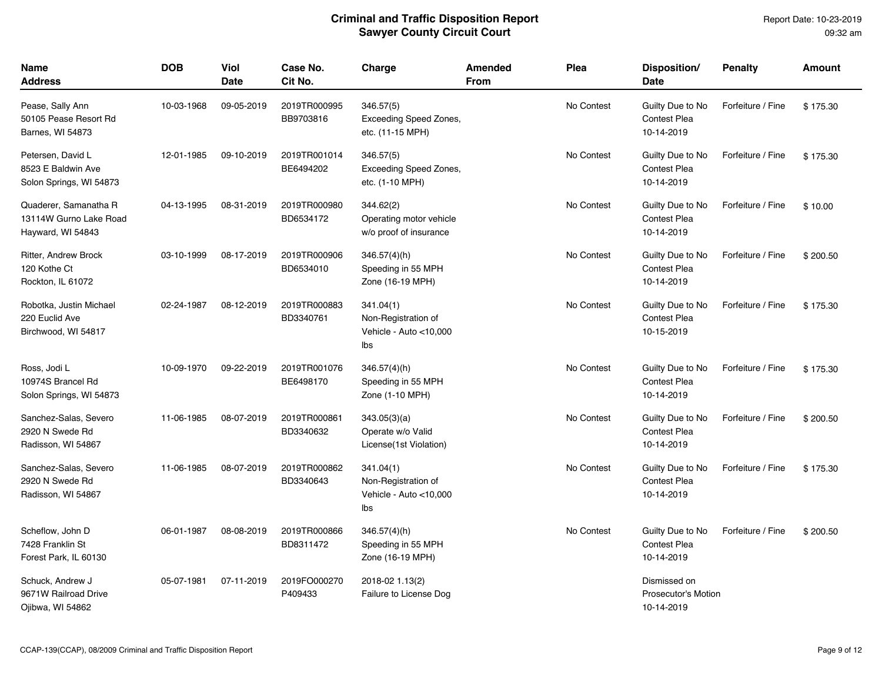| <b>Name</b><br>Address                                               | <b>DOB</b> | Viol<br><b>Date</b> | Case No.<br>Cit No.       | Charge                                                            | Amended<br><b>From</b> | Plea       | Disposition/<br>Date                                     | <b>Penalty</b>    | <b>Amount</b> |
|----------------------------------------------------------------------|------------|---------------------|---------------------------|-------------------------------------------------------------------|------------------------|------------|----------------------------------------------------------|-------------------|---------------|
| Pease, Sally Ann<br>50105 Pease Resort Rd<br>Barnes, WI 54873        | 10-03-1968 | 09-05-2019          | 2019TR000995<br>BB9703816 | 346.57(5)<br>Exceeding Speed Zones,<br>etc. (11-15 MPH)           |                        | No Contest | Guilty Due to No<br><b>Contest Plea</b><br>10-14-2019    | Forfeiture / Fine | \$175.30      |
| Petersen, David L<br>8523 E Baldwin Ave<br>Solon Springs, WI 54873   | 12-01-1985 | 09-10-2019          | 2019TR001014<br>BE6494202 | 346.57(5)<br>Exceeding Speed Zones,<br>etc. (1-10 MPH)            |                        | No Contest | Guilty Due to No<br><b>Contest Plea</b><br>10-14-2019    | Forfeiture / Fine | \$175.30      |
| Quaderer, Samanatha R<br>13114W Gurno Lake Road<br>Hayward, WI 54843 | 04-13-1995 | 08-31-2019          | 2019TR000980<br>BD6534172 | 344.62(2)<br>Operating motor vehicle<br>w/o proof of insurance    |                        | No Contest | Guilty Due to No<br><b>Contest Plea</b><br>10-14-2019    | Forfeiture / Fine | \$10.00       |
| Ritter, Andrew Brock<br>120 Kothe Ct<br>Rockton, IL 61072            | 03-10-1999 | 08-17-2019          | 2019TR000906<br>BD6534010 | $346.57(4)$ (h)<br>Speeding in 55 MPH<br>Zone (16-19 MPH)         |                        | No Contest | Guilty Due to No<br><b>Contest Plea</b><br>10-14-2019    | Forfeiture / Fine | \$200.50      |
| Robotka, Justin Michael<br>220 Euclid Ave<br>Birchwood, WI 54817     | 02-24-1987 | 08-12-2019          | 2019TR000883<br>BD3340761 | 341.04(1)<br>Non-Registration of<br>Vehicle - Auto <10,000<br>Ibs |                        | No Contest | Guilty Due to No<br>Contest Plea<br>10-15-2019           | Forfeiture / Fine | \$175.30      |
| Ross, Jodi L<br>10974S Brancel Rd<br>Solon Springs, WI 54873         | 10-09-1970 | 09-22-2019          | 2019TR001076<br>BE6498170 | $346.57(4)$ (h)<br>Speeding in 55 MPH<br>Zone (1-10 MPH)          |                        | No Contest | Guilty Due to No<br><b>Contest Plea</b><br>10-14-2019    | Forfeiture / Fine | \$175.30      |
| Sanchez-Salas, Severo<br>2920 N Swede Rd<br>Radisson, WI 54867       | 11-06-1985 | 08-07-2019          | 2019TR000861<br>BD3340632 | 343.05(3)(a)<br>Operate w/o Valid<br>License(1st Violation)       |                        | No Contest | Guilty Due to No<br><b>Contest Plea</b><br>10-14-2019    | Forfeiture / Fine | \$200.50      |
| Sanchez-Salas, Severo<br>2920 N Swede Rd<br>Radisson, WI 54867       | 11-06-1985 | 08-07-2019          | 2019TR000862<br>BD3340643 | 341.04(1)<br>Non-Registration of<br>Vehicle - Auto <10,000<br>lbs |                        | No Contest | Guilty Due to No<br>Contest Plea<br>10-14-2019           | Forfeiture / Fine | \$175.30      |
| Scheflow, John D<br>7428 Franklin St<br>Forest Park, IL 60130        | 06-01-1987 | 08-08-2019          | 2019TR000866<br>BD8311472 | $346.57(4)$ (h)<br>Speeding in 55 MPH<br>Zone (16-19 MPH)         |                        | No Contest | Guilty Due to No<br><b>Contest Plea</b><br>10-14-2019    | Forfeiture / Fine | \$200.50      |
| Schuck, Andrew J<br>9671W Railroad Drive<br>Ojibwa, WI 54862         | 05-07-1981 | 07-11-2019          | 2019FO000270<br>P409433   | 2018-02 1.13(2)<br>Failure to License Dog                         |                        |            | Dismissed on<br><b>Prosecutor's Motion</b><br>10-14-2019 |                   |               |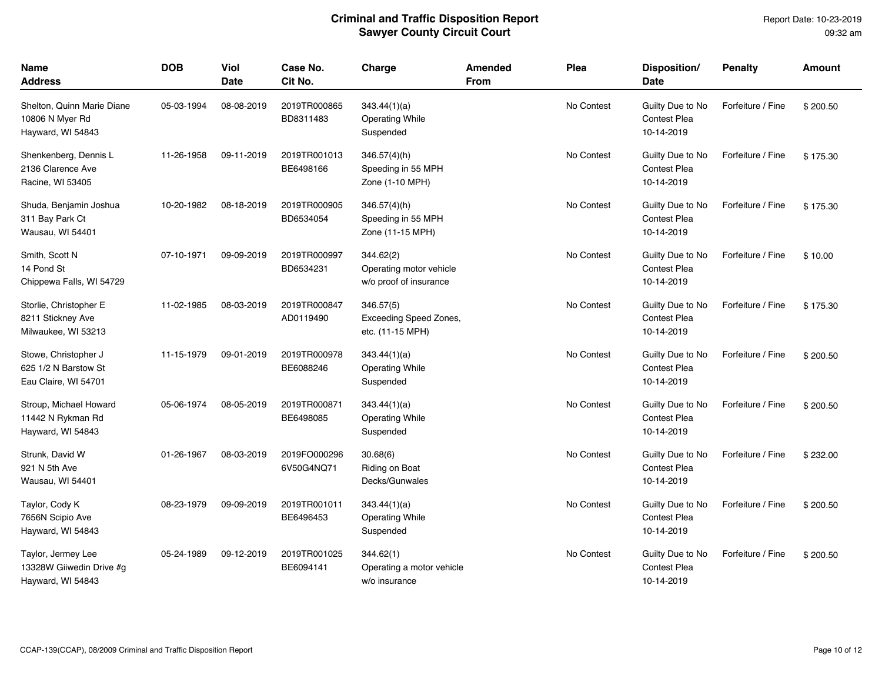| <b>Name</b><br><b>Address</b>                                        | <b>DOB</b> | Viol<br><b>Date</b> | Case No.<br>Cit No.        | Charge                                                         | Amended<br><b>From</b> | Plea       | Disposition/<br><b>Date</b>                           | <b>Penalty</b>    | Amount   |
|----------------------------------------------------------------------|------------|---------------------|----------------------------|----------------------------------------------------------------|------------------------|------------|-------------------------------------------------------|-------------------|----------|
| Shelton, Quinn Marie Diane<br>10806 N Myer Rd<br>Hayward, WI 54843   | 05-03-1994 | 08-08-2019          | 2019TR000865<br>BD8311483  | 343.44(1)(a)<br><b>Operating While</b><br>Suspended            |                        | No Contest | Guilty Due to No<br><b>Contest Plea</b><br>10-14-2019 | Forfeiture / Fine | \$200.50 |
| Shenkenberg, Dennis L<br>2136 Clarence Ave<br>Racine, WI 53405       | 11-26-1958 | 09-11-2019          | 2019TR001013<br>BE6498166  | 346.57(4)(h)<br>Speeding in 55 MPH<br>Zone (1-10 MPH)          |                        | No Contest | Guilty Due to No<br><b>Contest Plea</b><br>10-14-2019 | Forfeiture / Fine | \$175.30 |
| Shuda, Benjamin Joshua<br>311 Bay Park Ct<br>Wausau, WI 54401        | 10-20-1982 | 08-18-2019          | 2019TR000905<br>BD6534054  | 346.57(4)(h)<br>Speeding in 55 MPH<br>Zone (11-15 MPH)         |                        | No Contest | Guilty Due to No<br>Contest Plea<br>10-14-2019        | Forfeiture / Fine | \$175.30 |
| Smith, Scott N<br>14 Pond St<br>Chippewa Falls, WI 54729             | 07-10-1971 | 09-09-2019          | 2019TR000997<br>BD6534231  | 344.62(2)<br>Operating motor vehicle<br>w/o proof of insurance |                        | No Contest | Guilty Due to No<br>Contest Plea<br>10-14-2019        | Forfeiture / Fine | \$10.00  |
| Storlie, Christopher E<br>8211 Stickney Ave<br>Milwaukee, WI 53213   | 11-02-1985 | 08-03-2019          | 2019TR000847<br>AD0119490  | 346.57(5)<br>Exceeding Speed Zones,<br>etc. (11-15 MPH)        |                        | No Contest | Guilty Due to No<br><b>Contest Plea</b><br>10-14-2019 | Forfeiture / Fine | \$175.30 |
| Stowe, Christopher J<br>625 1/2 N Barstow St<br>Eau Claire, WI 54701 | 11-15-1979 | 09-01-2019          | 2019TR000978<br>BE6088246  | 343.44(1)(a)<br><b>Operating While</b><br>Suspended            |                        | No Contest | Guilty Due to No<br>Contest Plea<br>10-14-2019        | Forfeiture / Fine | \$200.50 |
| Stroup, Michael Howard<br>11442 N Rykman Rd<br>Hayward, WI 54843     | 05-06-1974 | 08-05-2019          | 2019TR000871<br>BE6498085  | 343.44(1)(a)<br><b>Operating While</b><br>Suspended            |                        | No Contest | Guilty Due to No<br><b>Contest Plea</b><br>10-14-2019 | Forfeiture / Fine | \$200.50 |
| Strunk, David W<br>921 N 5th Ave<br>Wausau, WI 54401                 | 01-26-1967 | 08-03-2019          | 2019FO000296<br>6V50G4NQ71 | 30.68(6)<br>Riding on Boat<br>Decks/Gunwales                   |                        | No Contest | Guilty Due to No<br><b>Contest Plea</b><br>10-14-2019 | Forfeiture / Fine | \$232.00 |
| Taylor, Cody K<br>7656N Scipio Ave<br>Hayward, WI 54843              | 08-23-1979 | 09-09-2019          | 2019TR001011<br>BE6496453  | 343.44(1)(a)<br><b>Operating While</b><br>Suspended            |                        | No Contest | Guilty Due to No<br><b>Contest Plea</b><br>10-14-2019 | Forfeiture / Fine | \$200.50 |
| Taylor, Jermey Lee<br>13328W Giiwedin Drive #g<br>Hayward, WI 54843  | 05-24-1989 | 09-12-2019          | 2019TR001025<br>BE6094141  | 344.62(1)<br>Operating a motor vehicle<br>w/o insurance        |                        | No Contest | Guilty Due to No<br><b>Contest Plea</b><br>10-14-2019 | Forfeiture / Fine | \$200.50 |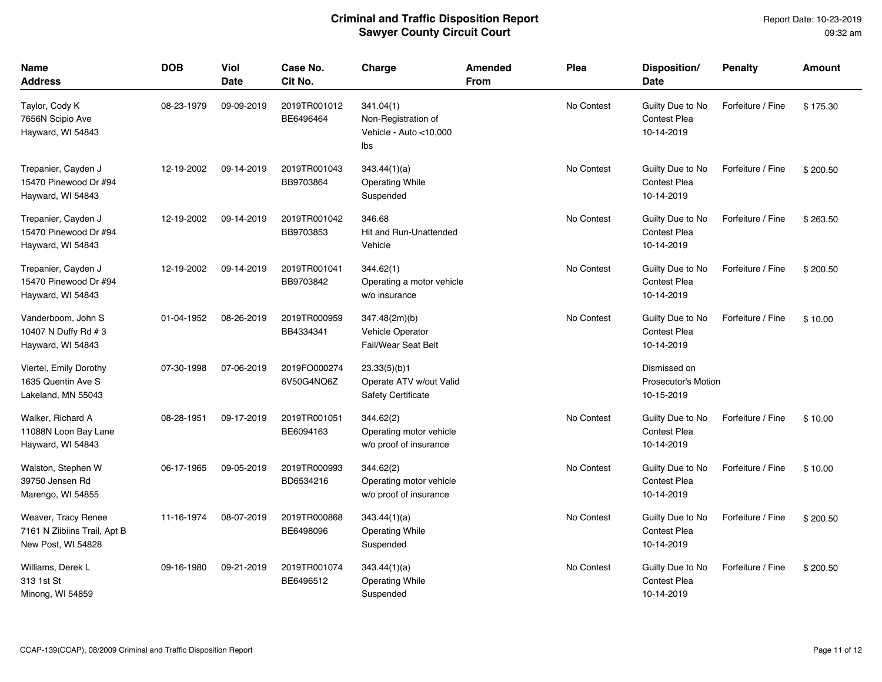| <b>Name</b><br><b>Address</b>                                             | <b>DOB</b> | <b>Viol</b><br><b>Date</b> | Case No.<br>Cit No.        | Charge                                                               | Amended<br><b>From</b> | Plea       | Disposition/<br><b>Date</b>                              | <b>Penalty</b>    | <b>Amount</b> |
|---------------------------------------------------------------------------|------------|----------------------------|----------------------------|----------------------------------------------------------------------|------------------------|------------|----------------------------------------------------------|-------------------|---------------|
| Taylor, Cody K<br>7656N Scipio Ave<br>Hayward, WI 54843                   | 08-23-1979 | 09-09-2019                 | 2019TR001012<br>BE6496464  | 341.04(1)<br>Non-Registration of<br>Vehicle - Auto <10,000<br>lbs    |                        | No Contest | Guilty Due to No<br>Contest Plea<br>10-14-2019           | Forfeiture / Fine | \$175.30      |
| Trepanier, Cayden J<br>15470 Pinewood Dr #94<br>Hayward, WI 54843         | 12-19-2002 | 09-14-2019                 | 2019TR001043<br>BB9703864  | 343.44(1)(a)<br><b>Operating While</b><br>Suspended                  |                        | No Contest | Guilty Due to No<br><b>Contest Plea</b><br>10-14-2019    | Forfeiture / Fine | \$200.50      |
| Trepanier, Cayden J<br>15470 Pinewood Dr #94<br>Hayward, WI 54843         | 12-19-2002 | 09-14-2019                 | 2019TR001042<br>BB9703853  | 346.68<br>Hit and Run-Unattended<br>Vehicle                          |                        | No Contest | Guilty Due to No<br>Contest Plea<br>10-14-2019           | Forfeiture / Fine | \$263.50      |
| Trepanier, Cayden J<br>15470 Pinewood Dr #94<br>Hayward, WI 54843         | 12-19-2002 | 09-14-2019                 | 2019TR001041<br>BB9703842  | 344.62(1)<br>Operating a motor vehicle<br>w/o insurance              |                        | No Contest | Guilty Due to No<br><b>Contest Plea</b><br>10-14-2019    | Forfeiture / Fine | \$200.50      |
| Vanderboom, John S<br>10407 N Duffy Rd # 3<br>Hayward, WI 54843           | 01-04-1952 | 08-26-2019                 | 2019TR000959<br>BB4334341  | 347.48(2m)(b)<br><b>Vehicle Operator</b><br>Fail/Wear Seat Belt      |                        | No Contest | Guilty Due to No<br><b>Contest Plea</b><br>10-14-2019    | Forfeiture / Fine | \$10.00       |
| Viertel, Emily Dorothy<br>1635 Quentin Ave S<br>Lakeland, MN 55043        | 07-30-1998 | 07-06-2019                 | 2019FO000274<br>6V50G4NQ6Z | 23.33(5)(b)1<br>Operate ATV w/out Valid<br><b>Safety Certificate</b> |                        |            | Dismissed on<br><b>Prosecutor's Motion</b><br>10-15-2019 |                   |               |
| Walker, Richard A<br>11088N Loon Bay Lane<br>Hayward, WI 54843            | 08-28-1951 | 09-17-2019                 | 2019TR001051<br>BE6094163  | 344.62(2)<br>Operating motor vehicle<br>w/o proof of insurance       |                        | No Contest | Guilty Due to No<br><b>Contest Plea</b><br>10-14-2019    | Forfeiture / Fine | \$10.00       |
| Walston, Stephen W<br>39750 Jensen Rd<br>Marengo, WI 54855                | 06-17-1965 | 09-05-2019                 | 2019TR000993<br>BD6534216  | 344.62(2)<br>Operating motor vehicle<br>w/o proof of insurance       |                        | No Contest | Guilty Due to No<br><b>Contest Plea</b><br>10-14-2019    | Forfeiture / Fine | \$10.00       |
| Weaver, Tracy Renee<br>7161 N Ziibiins Trail, Apt B<br>New Post, WI 54828 | 11-16-1974 | 08-07-2019                 | 2019TR000868<br>BE6498096  | 343.44(1)(a)<br><b>Operating While</b><br>Suspended                  |                        | No Contest | Guilty Due to No<br>Contest Plea<br>10-14-2019           | Forfeiture / Fine | \$200.50      |
| Williams, Derek L<br>313 1st St<br>Minong, WI 54859                       | 09-16-1980 | 09-21-2019                 | 2019TR001074<br>BE6496512  | 343.44(1)(a)<br><b>Operating While</b><br>Suspended                  |                        | No Contest | Guilty Due to No<br><b>Contest Plea</b><br>10-14-2019    | Forfeiture / Fine | \$200.50      |